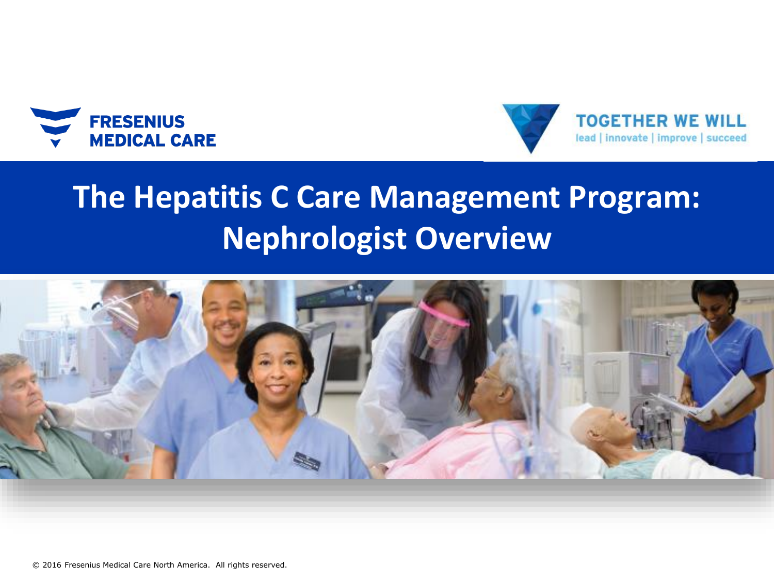



# **The Hepatitis C Care Management Program: Nephrologist Overview**

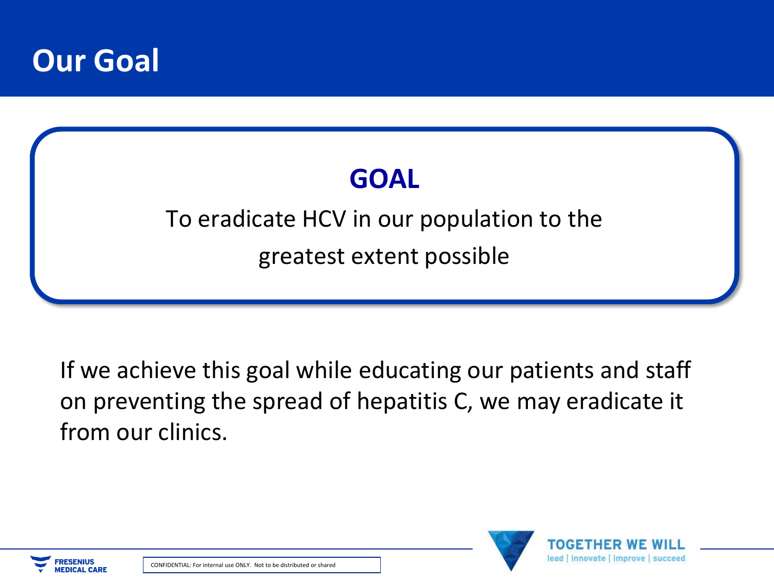

#### **GOAL**

#### To eradicate HCV in our population to the greatest extent possible

If we achieve this goal while educating our patients and staff on preventing the spread of hepatitis C, we may eradicate it from our clinics.



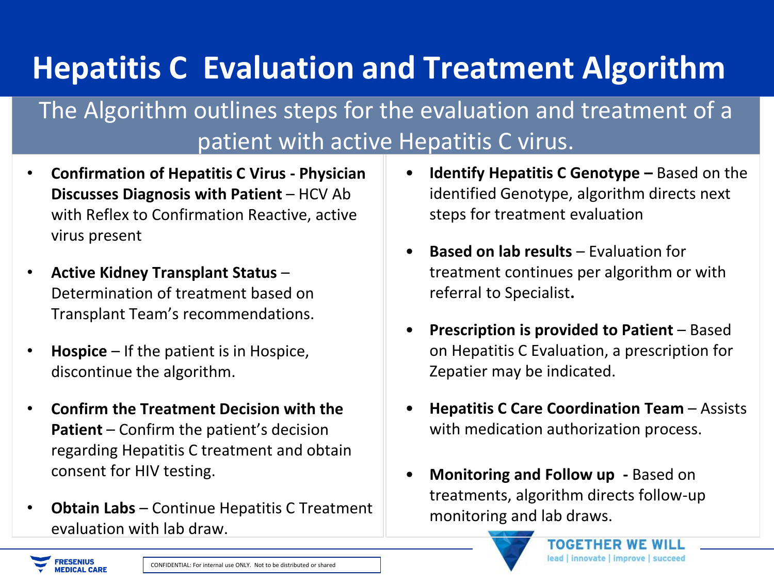# **Hepatitis C Evaluation and Treatment Algorithm**

#### The Algorithm outlines steps for the evaluation and treatment of a patient with active Hepatitis C virus.

- **Confirmation of Hepatitis C Virus - Physician Discusses Diagnosis with Patient** – HCV Ab with Reflex to Confirmation Reactive, active virus present
- **Active Kidney Transplant Status**  Determination of treatment based on Transplant Team's recommendations.
- **Hospice**  If the patient is in Hospice, discontinue the algorithm.
- **Confirm the Treatment Decision with the Patient** – Confirm the patient's decision regarding Hepatitis C treatment and obtain consent for HIV testing.
- **Obtain Labs**  Continue Hepatitis C Treatment evaluation with lab draw.
- **Identify Hepatitis C Genotype –** Based on the identified Genotype, algorithm directs next steps for treatment evaluation
- **Based on lab results**  Evaluation for treatment continues per algorithm or with referral to Specialist**.**
- **Prescription is provided to Patient**  Based on Hepatitis C Evaluation, a prescription for Zepatier may be indicated.
- **Hepatitis C Care Coordination Team**  Assists with medication authorization process.
- **Monitoring and Follow up -** Based on treatments, algorithm directs follow-up monitoring and lab draws.



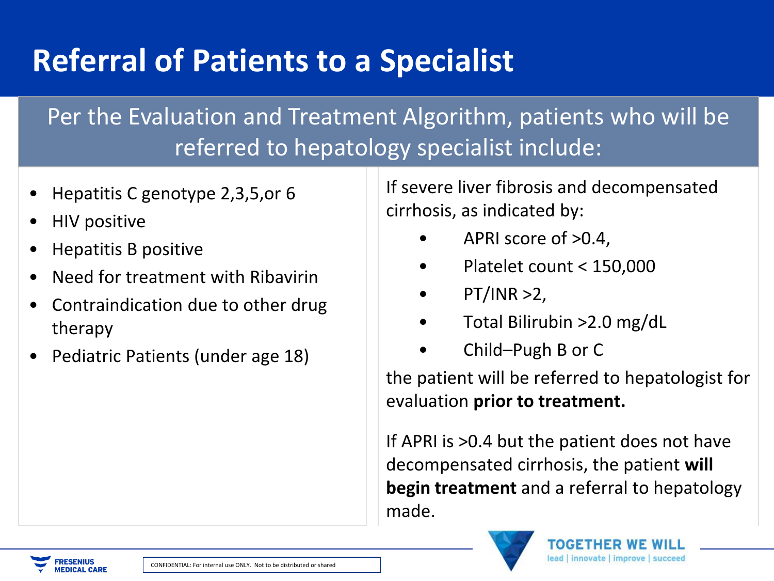# **Referral of Patients to a Specialist**

#### Per the Evaluation and Treatment Algorithm, patients who will be referred to hepatology specialist include:

- Hepatitis C genotype 2,3,5,or 6
- HIV positive
- Hepatitis B positive
- Need for treatment with Ribavirin
- Contraindication due to other drug therapy
- Pediatric Patients (under age 18)

If severe liver fibrosis and decompensated cirrhosis, as indicated by:

- APRI score of >0.4,
- Platelet count < 150,000
- $PT/INR > 2$ ,
- Total Bilirubin >2.0 mg/dL
- Child–Pugh B or C

the patient will be referred to hepatologist for evaluation **prior to treatment.**

If APRI is >0.4 but the patient does not have decompensated cirrhosis, the patient **will begin treatment** and a referral to hepatology made.



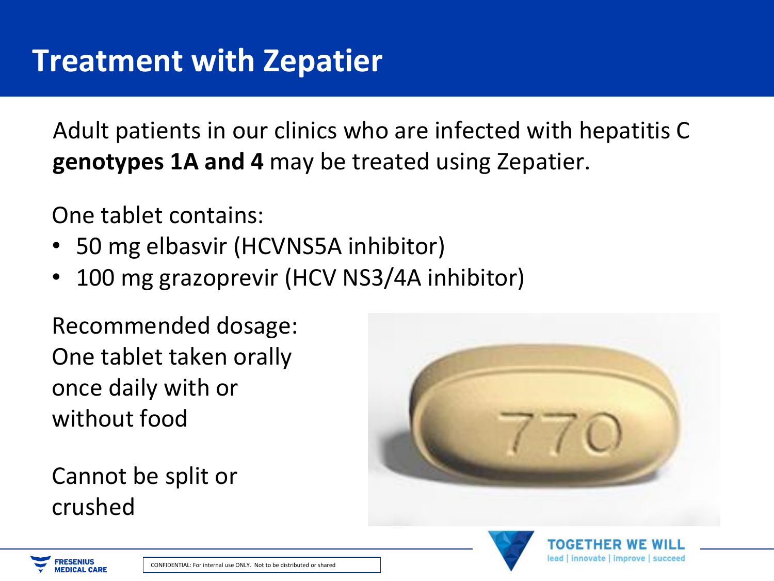Adult patients in our clinics who are infected with hepatitis C **genotypes 1A and 4** may be treated using Zepatier.

One tablet contains:

- 50 mg elbasvir (HCVNS5A inhibitor)
- 100 mg grazoprevir (HCV NS3/4A inhibitor)

Recommended dosage: One tablet taken orally once daily with or without food

Cannot be split or crushed



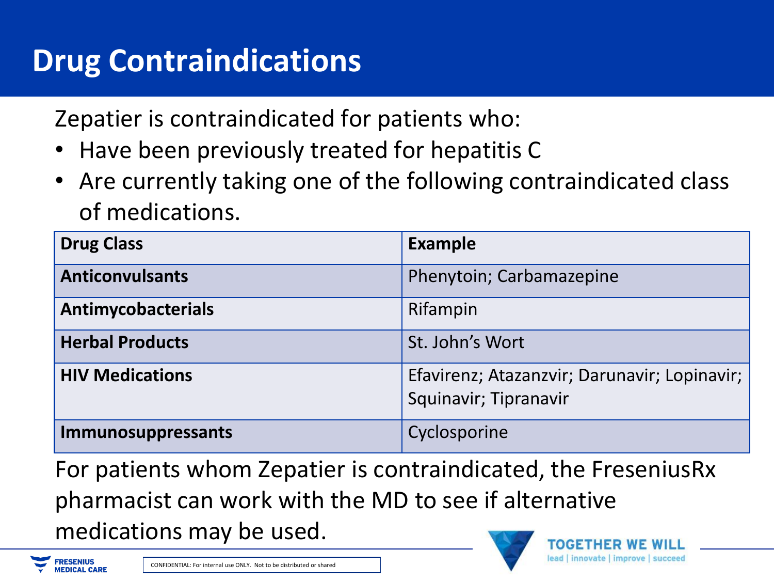## **Drug Contraindications**

Zepatier is contraindicated for patients who:

- Have been previously treated for hepatitis C
- Are currently taking one of the following contraindicated class of medications.

| <b>Drug Class</b>         | <b>Example</b>                                                        |
|---------------------------|-----------------------------------------------------------------------|
| <b>Anticonvulsants</b>    | Phenytoin; Carbamazepine                                              |
| Antimycobacterials        | Rifampin                                                              |
| <b>Herbal Products</b>    | St. John's Wort                                                       |
| <b>HIV Medications</b>    | Efavirenz; Atazanzvir; Darunavir; Lopinavir;<br>Squinavir; Tipranavir |
| <b>Immunosuppressants</b> | Cyclosporine                                                          |

For patients whom Zepatier is contraindicated, the FreseniusRx pharmacist can work with the MD to see if alternative medications may be used.



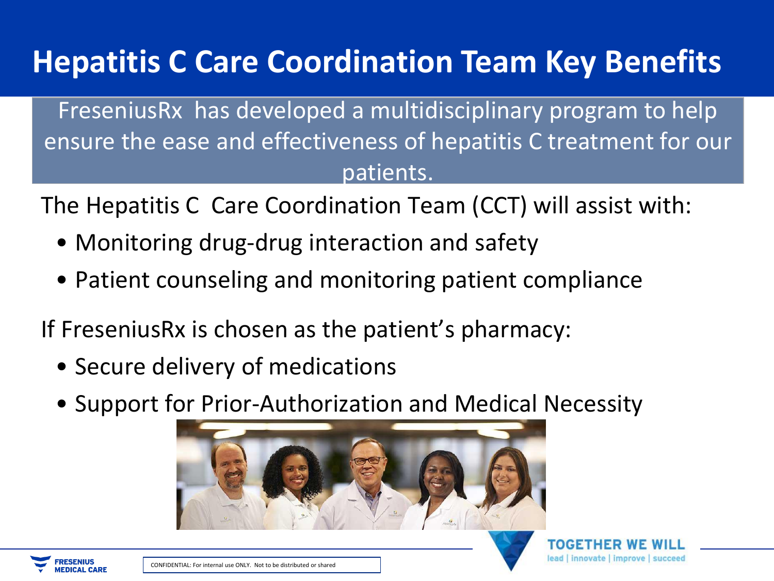## **Hepatitis C Care Coordination Team Key Benefits**

FreseniusRx has developed a multidisciplinary program to help ensure the ease and effectiveness of hepatitis C treatment for our patients.

The Hepatitis C Care Coordination Team (CCT) will assist with:

- Monitoring drug-drug interaction and safety
- Patient counseling and monitoring patient compliance

If FreseniusRx is chosen as the patient's pharmacy:

- Secure delivery of medications
- Support for Prior-Authorization and Medical Necessity





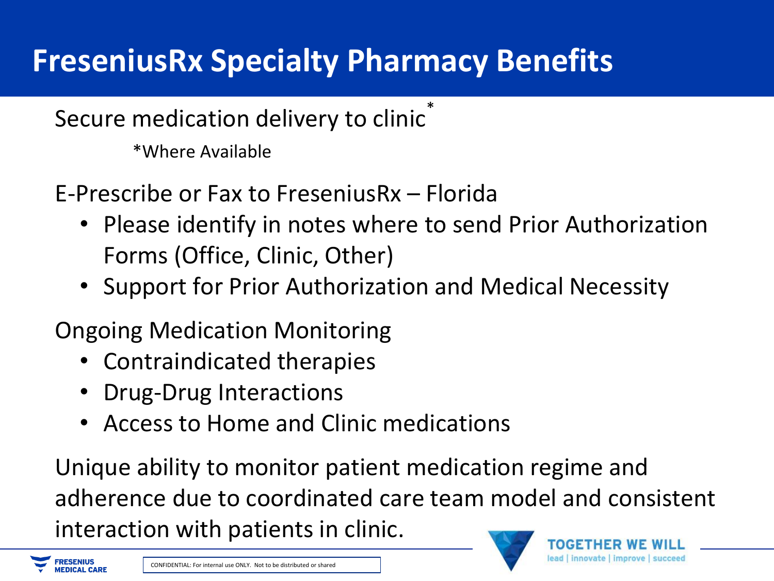### **FreseniusRx Specialty Pharmacy Benefits**

Secure medication delivery to clinic<sup>\*</sup>

\*Where Available

- E-Prescribe or Fax to FreseniusRx Florida
	- Please identify in notes where to send Prior Authorization Forms (Office, Clinic, Other)
	- Support for Prior Authorization and Medical Necessity

#### Ongoing Medication Monitoring

- Contraindicated therapies
- Drug-Drug Interactions
- Access to Home and Clinic medications

Unique ability to monitor patient medication regime and adherence due to coordinated care team model and consistent interaction with patients in clinic.



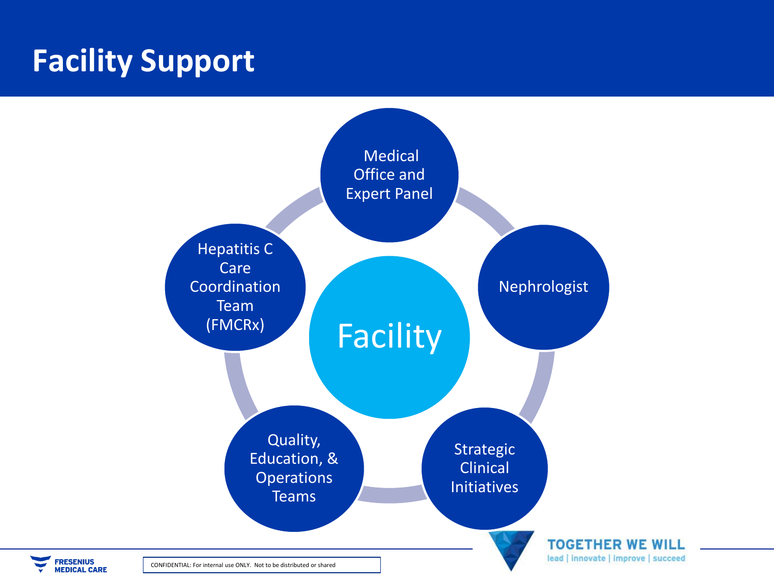#### **Facility Support**



**RESENIUS MEDICAL CARE** 

CONFIDENTIAL: For internal use ONLY. Not to be distributed or shared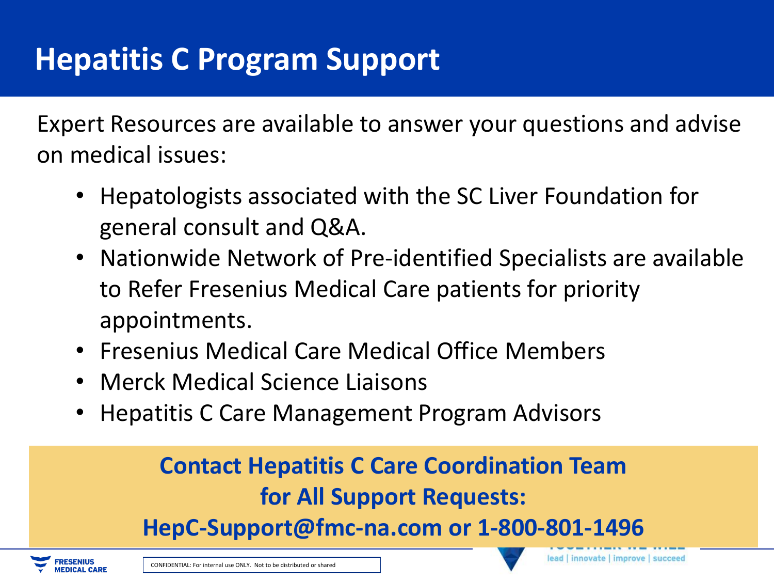### **Hepatitis C Program Support**

Expert Resources are available to answer your questions and advise on medical issues:

- Hepatologists associated with the SC Liver Foundation for general consult and Q&A.
- Nationwide Network of Pre-identified Specialists are available to Refer Fresenius Medical Care patients for priority appointments.
- Fresenius Medical Care Medical Office Members
- Merck Medical Science Liaisons
- Hepatitis C Care Management Program Advisors

#### **Contact Hepatitis C Care Coordination Team for All Support Requests:**

**HepC-Support@fmc-na.com or 1-800-801-1496**



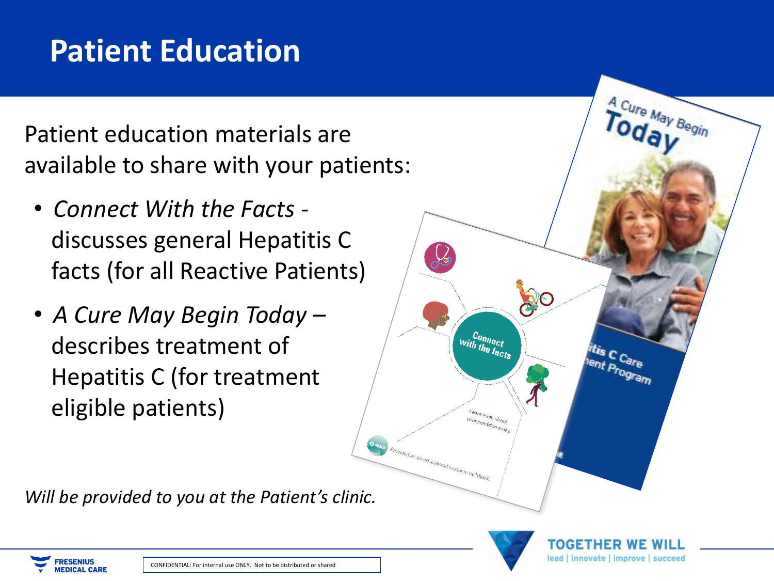#### **Patient Education**

Patient education materials are available to share with your patients:

- *Connect With the Facts*  discusses general Hepatitis C facts (for all Reactive Patients)
- *A Cure May Begin Today –* describes treatment of Hepatitis C (for treatment eligible patients)

*Will be provided to you at the Patient's clinic.*



Connect<br>with the facts

Learn more about<br><sup>Vour</sup> conda: your condition toda

vided as an educational resource by Merci

lead | innovate | improve | succeed

A Cure May Begin

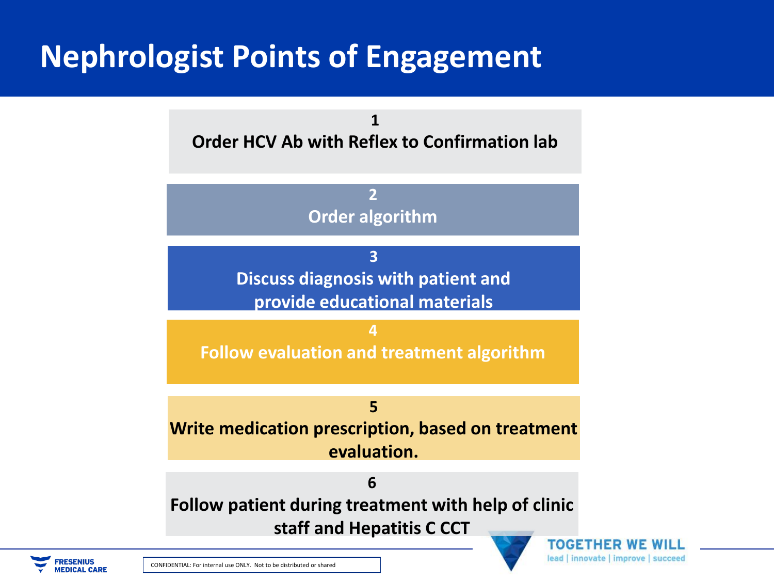## **Nephrologist Points of Engagement**

**1 Order HCV Ab with Reflex to Confirmation lab**

> **2 Order algorithm**

**3 Discuss diagnosis with patient and provide educational materials**

**4 Follow evaluation and treatment algorithm**

**5 Write medication prescription, based on treatment evaluation.** 

**6 Follow patient during treatment with help of clinic staff and Hepatitis C CCT**



TOGETH lead | innovate | improve | succeed

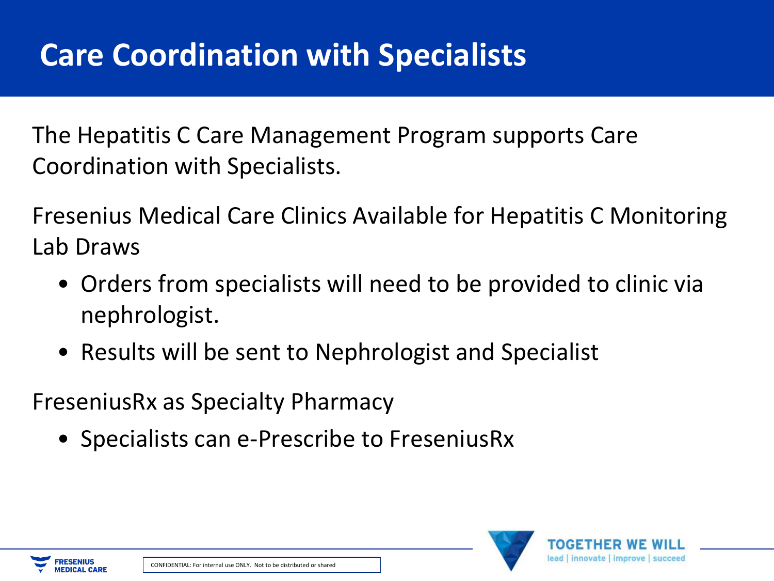The Hepatitis C Care Management Program supports Care Coordination with Specialists.

Fresenius Medical Care Clinics Available for Hepatitis C Monitoring Lab Draws

- Orders from specialists will need to be provided to clinic via nephrologist.
- Results will be sent to Nephrologist and Specialist

FreseniusRx as Specialty Pharmacy

• Specialists can e-Prescribe to FreseniusRx